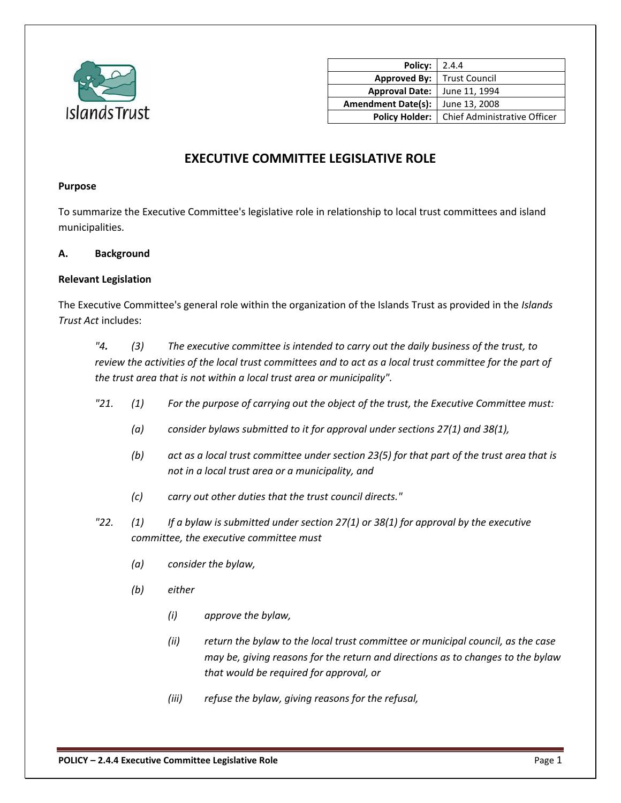

| Policy:                             | 2.4.4                                                |
|-------------------------------------|------------------------------------------------------|
| <b>Approved By:</b>   Trust Council |                                                      |
| <b>Approval Date:</b>               | June 11, 1994                                        |
| <b>Amendment Date(s):</b>           | June 13, 2008                                        |
|                                     | <b>Policy Holder:</b>   Chief Administrative Officer |

# **EXECUTIVE COMMITTEE LEGISLATIVE ROLE**

#### **Purpose**

To summarize the Executive Committee's legislative role in relationship to local trust committees and island municipalities.

## **A. Background**

## **Relevant Legislation**

The Executive Committee's general role within the organization of the Islands Trust as provided in the *Islands Trust Act* includes:

*"4. (3) The executive committee is intended to carry out the daily business of the trust, to review the activities of the local trust committees and to act as a local trust committee for the part of the trust area that is not within a local trust area or municipality".*

- *"21. (1) For the purpose of carrying out the object of the trust, the Executive Committee must:*
	- *(a) consider bylaws submitted to it for approval under sections 27(1) and 38(1),*
	- *(b) act as a local trust committee under section 23(5) for that part of the trust area that is not in a local trust area or a municipality, and*
	- *(c) carry out other duties that the trust council directs."*
- *"22. (1) If a bylaw is submitted under section 27(1) or 38(1) for approval by the executive committee, the executive committee must*
	- *(a) consider the bylaw,*
	- *(b) either*
		- *(i) approve the bylaw,*
		- *(ii) return the bylaw to the local trust committee or municipal council, as the case may be, giving reasons for the return and directions as to changes to the bylaw that would be required for approval, or*
		- *(iii) refuse the bylaw, giving reasons for the refusal,*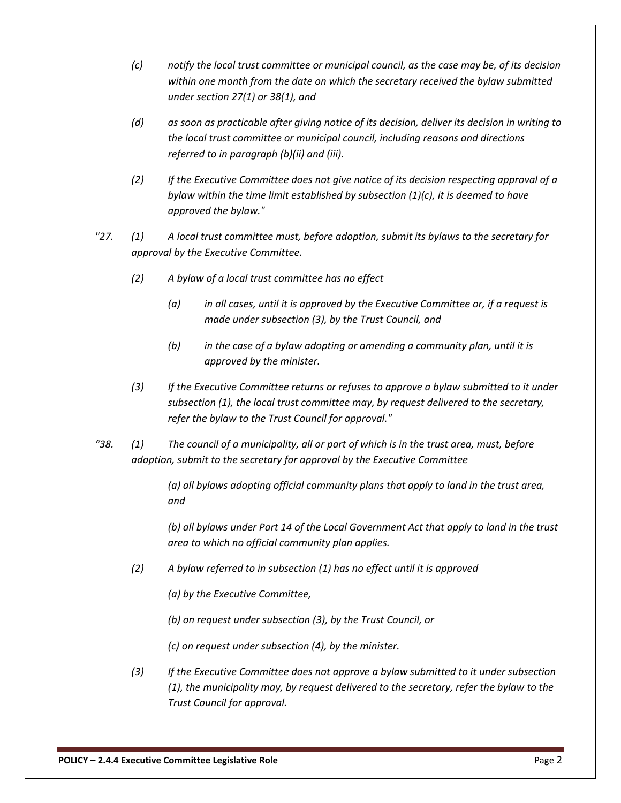- *(c) notify the local trust committee or municipal council, as the case may be, of its decision within one month from the date on which the secretary received the bylaw submitted under section 27(1) or 38(1), and*
- *(d) as soon as practicable after giving notice of its decision, deliver its decision in writing to the local trust committee or municipal council, including reasons and directions referred to in paragraph (b)(ii) and (iii).*
- *(2) If the Executive Committee does not give notice of its decision respecting approval of a bylaw within the time limit established by subsection (1)(c), it is deemed to have approved the bylaw."*
- *"27. (1) A local trust committee must, before adoption, submit its bylaws to the secretary for approval by the Executive Committee.*
	- *(2) A bylaw of a local trust committee has no effect*
		- *(a) in all cases, until it is approved by the Executive Committee or, if a request is made under subsection (3), by the Trust Council, and*
		- *(b) in the case of a bylaw adopting or amending a community plan, until it is approved by the minister.*
	- *(3) If the Executive Committee returns or refuses to approve a bylaw submitted to it under subsection (1), the local trust committee may, by request delivered to the secretary, refer the bylaw to the Trust Council for approval."*
- *"38. (1) The council of a municipality, all or part of which is in the trust area, must, before adoption, submit to the secretary for approval by the Executive Committee*

*(a) all bylaws adopting official community plans that apply to land in the trust area, and*

*(b) all bylaws under Part 14 of the Local Government Act that apply to land in the trust area to which no official community plan applies.*

*(2) A bylaw referred to in subsection (1) has no effect until it is approved*

*(a) by the Executive Committee,*

*(b) on request under subsection (3), by the Trust Council, or*

*(c) on request under subsection (4), by the minister.*

*(3) If the Executive Committee does not approve a bylaw submitted to it under subsection (1), the municipality may, by request delivered to the secretary, refer the bylaw to the Trust Council for approval.*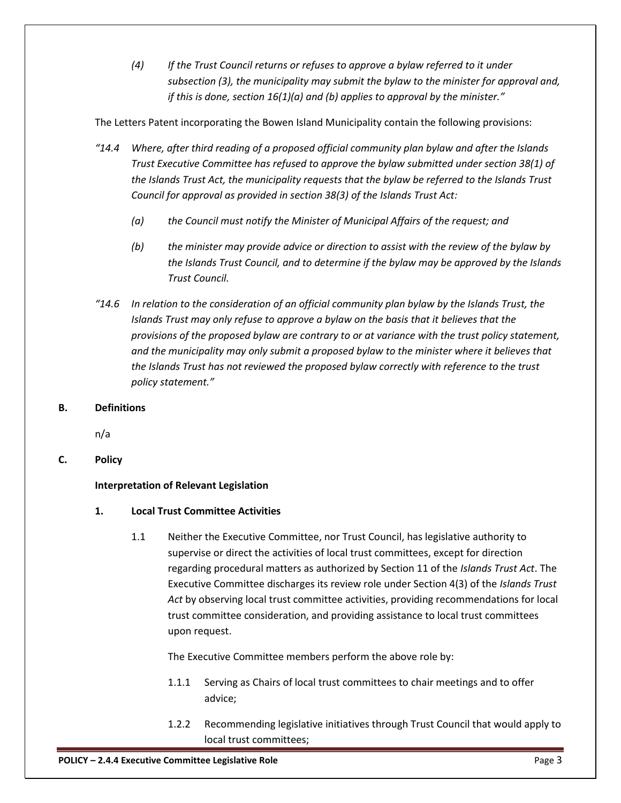*(4) If the Trust Council returns or refuses to approve a bylaw referred to it under subsection (3), the municipality may submit the bylaw to the minister for approval and, if this is done, section 16(1)(a) and (b) applies to approval by the minister."*

The Letters Patent incorporating the Bowen Island Municipality contain the following provisions:

- *"14.4 Where, after third reading of a proposed official community plan bylaw and after the Islands Trust Executive Committee has refused to approve the bylaw submitted under section 38(1) of the Islands Trust Act, the municipality requests that the bylaw be referred to the Islands Trust Council for approval as provided in section 38(3) of the Islands Trust Act:*
	- *(a) the Council must notify the Minister of Municipal Affairs of the request; and*
	- *(b) the minister may provide advice or direction to assist with the review of the bylaw by the Islands Trust Council, and to determine if the bylaw may be approved by the Islands Trust Council.*
- *"14.6 In relation to the consideration of an official community plan bylaw by the Islands Trust, the Islands Trust may only refuse to approve a bylaw on the basis that it believes that the provisions of the proposed bylaw are contrary to or at variance with the trust policy statement, and the municipality may only submit a proposed bylaw to the minister where it believes that the Islands Trust has not reviewed the proposed bylaw correctly with reference to the trust policy statement."*

#### **B. Definitions**

n/a

## **C. Policy**

## **Interpretation of Relevant Legislation**

#### **1. Local Trust Committee Activities**

1.1 Neither the Executive Committee, nor Trust Council, has legislative authority to supervise or direct the activities of local trust committees, except for direction regarding procedural matters as authorized by Section 11 of the *Islands Trust Act*. The Executive Committee discharges its review role under Section 4(3) of the *Islands Trust Act* by observing local trust committee activities, providing recommendations for local trust committee consideration, and providing assistance to local trust committees upon request.

The Executive Committee members perform the above role by:

- 1.1.1 Serving as Chairs of local trust committees to chair meetings and to offer advice;
- 1.2.2 Recommending legislative initiatives through Trust Council that would apply to local trust committees;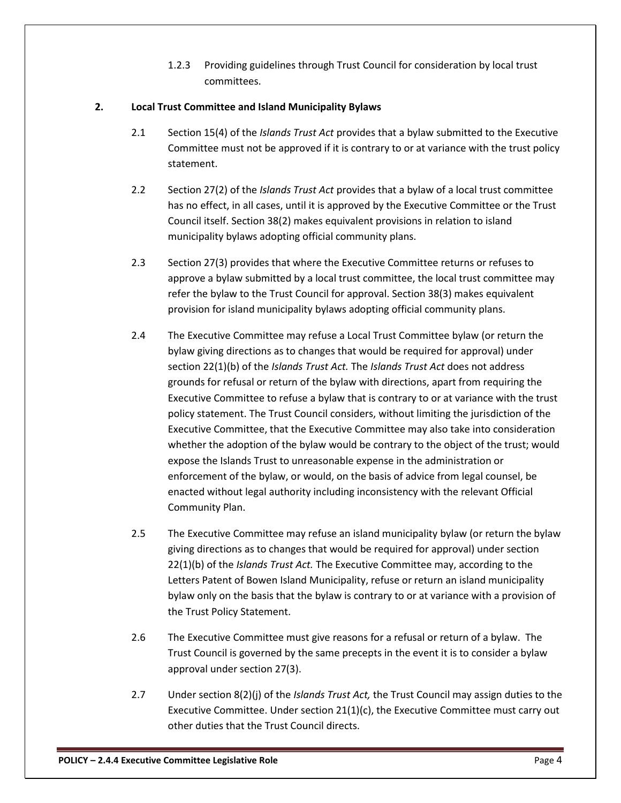1.2.3 Providing guidelines through Trust Council for consideration by local trust committees.

# **2. Local Trust Committee and Island Municipality Bylaws**

- 2.1 Section 15(4) of the *Islands Trust Act* provides that a bylaw submitted to the Executive Committee must not be approved if it is contrary to or at variance with the trust policy statement.
- 2.2 Section 27(2) of the *Islands Trust Act* provides that a bylaw of a local trust committee has no effect, in all cases, until it is approved by the Executive Committee or the Trust Council itself. Section 38(2) makes equivalent provisions in relation to island municipality bylaws adopting official community plans.
- 2.3 Section 27(3) provides that where the Executive Committee returns or refuses to approve a bylaw submitted by a local trust committee, the local trust committee may refer the bylaw to the Trust Council for approval. Section 38(3) makes equivalent provision for island municipality bylaws adopting official community plans.
- 2.4 The Executive Committee may refuse a Local Trust Committee bylaw (or return the bylaw giving directions as to changes that would be required for approval) under section 22(1)(b) of the *Islands Trust Act.* The *Islands Trust Act* does not address grounds for refusal or return of the bylaw with directions, apart from requiring the Executive Committee to refuse a bylaw that is contrary to or at variance with the trust policy statement. The Trust Council considers, without limiting the jurisdiction of the Executive Committee, that the Executive Committee may also take into consideration whether the adoption of the bylaw would be contrary to the object of the trust; would expose the Islands Trust to unreasonable expense in the administration or enforcement of the bylaw, or would, on the basis of advice from legal counsel, be enacted without legal authority including inconsistency with the relevant Official Community Plan.
- 2.5 The Executive Committee may refuse an island municipality bylaw (or return the bylaw giving directions as to changes that would be required for approval) under section 22(1)(b) of the *Islands Trust Act.* The Executive Committee may, according to the Letters Patent of Bowen Island Municipality, refuse or return an island municipality bylaw only on the basis that the bylaw is contrary to or at variance with a provision of the Trust Policy Statement.
- 2.6 The Executive Committee must give reasons for a refusal or return of a bylaw. The Trust Council is governed by the same precepts in the event it is to consider a bylaw approval under section 27(3).
- 2.7 Under section 8(2)(j) of the *Islands Trust Act,* the Trust Council may assign duties to the Executive Committee. Under section 21(1)(c), the Executive Committee must carry out other duties that the Trust Council directs.